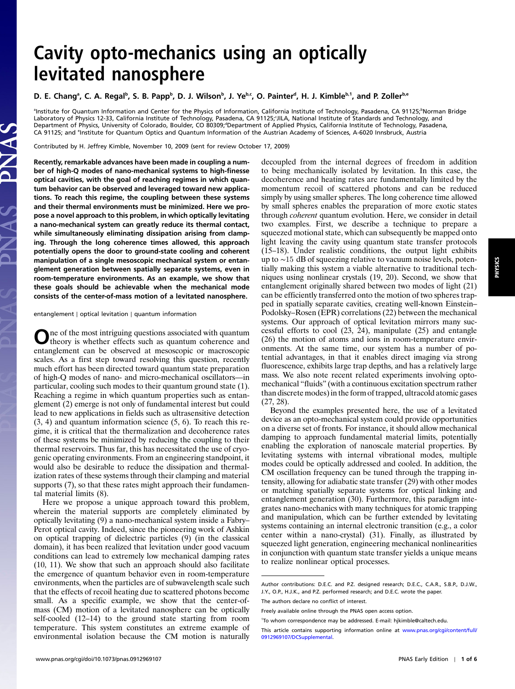# Cavity opto-mechanics using an optically levitated nanosphere

### D. E. Chang<sup>a</sup>, C. A. Regal<sup>b</sup>, S. B. Papp<sup>b</sup>, D. J. Wilson<sup>b</sup>, J. Yebc, O. Painter<sup>d</sup>, H. J. Kimble<sup>b,1</sup>, and P. Zoller<sup>b,e</sup>

lnstitute for Quantum Information and Center for the Physics of Information, California Institute of Technology, Pasadena, CA 91125; Norman Bridge الصورة Laboratory of Physics 12-33, California Institute of Technology, Pasadena, CA 91125;'JILA, National Institute of Standards and Technology, and<br>Department of Physics, University of Colorado, Boulder, CO 80309;"Department of CA 91125; and <sup>e</sup>Institute for Quantum Optics and Quantum Information of the Austrian Academy of Sciences, A-6020 Innsbruck, Austria

Contributed by H. Jeffrey Kimble, November 10, 2009 (sent for review October 17, 2009)

Recently, remarkable advances have been made in coupling a number of high-Q modes of nano-mechanical systems to high-finesse optical cavities, with the goal of reaching regimes in which quantum behavior can be observed and leveraged toward new applications. To reach this regime, the coupling between these systems and their thermal environments must be minimized. Here we propose a novel approach to this problem, in which optically levitating a nano-mechanical system can greatly reduce its thermal contact, while simultaneously eliminating dissipation arising from clamping. Through the long coherence times allowed, this approach potentially opens the door to ground-state cooling and coherent manipulation of a single mesoscopic mechanical system or entanglement generation between spatially separate systems, even in room-temperature environments. As an example, we show that these goals should be achievable when the mechanical mode consists of the center-of-mass motion of a levitated nanosphere.

entanglement ∣ optical levitation ∣ quantum information

One of the most intriguing questions associated with quantum<br>theory is whether effects such as quantum coherence and entanglement can be observed at mesoscopic or macroscopic scales. As a first step toward resolving this question, recently much effort has been directed toward quantum state preparation of high-Q modes of nano- and micro-mechanical oscillators—in particular, cooling such modes to their quantum ground state (1). Reaching a regime in which quantum properties such as entanglement (2) emerge is not only of fundamental interest but could lead to new applications in fields such as ultrasensitive detection (3, 4) and quantum information science (5, 6). To reach this regime, it is critical that the thermalization and decoherence rates of these systems be minimized by reducing the coupling to their thermal reservoirs. Thus far, this has necessitated the use of cryogenic operating environments. From an engineering standpoint, it would also be desirable to reduce the dissipation and thermalization rates of these systems through their clamping and material supports (7), so that these rates might approach their fundamental material limits (8).

Here we propose a unique approach toward this problem, wherein the material supports are completely eliminated by optically levitating (9) a nano-mechanical system inside a Fabry– Perot optical cavity. Indeed, since the pioneering work of Ashkin on optical trapping of dielectric particles (9) (in the classical domain), it has been realized that levitation under good vacuum conditions can lead to extremely low mechanical damping rates (10, 11). We show that such an approach should also facilitate the emergence of quantum behavior even in room-temperature environments, when the particles are of subwavelength scale such that the effects of recoil heating due to scattered photons become small. As a specific example, we show that the center-ofmass (CM) motion of a levitated nanosphere can be optically self-cooled (12–14) to the ground state starting from room temperature. This system constitutes an extreme example of environmental isolation because the CM motion is naturally

decoupled from the internal degrees of freedom in addition to being mechanically isolated by levitation. In this case, the decoherence and heating rates are fundamentally limited by the momentum recoil of scattered photons and can be reduced simply by using smaller spheres. The long coherence time allowed by small spheres enables the preparation of more exotic states through coherent quantum evolution. Here, we consider in detail two examples. First, we describe a technique to prepare a squeezed motional state, which can subsequently be mapped onto light leaving the cavity using quantum state transfer protocols (15–18). Under realistic conditions, the output light exhibits up to ∼15 dB of squeezing relative to vacuum noise levels, potentially making this system a viable alternative to traditional techniques using nonlinear crystals (19, 20). Second, we show that entanglement originally shared between two modes of light (21) can be efficiently transferred onto the motion of two spheres trapped in spatially separate cavities, creating well-known Einstein– Podolsky–Rosen (EPR) correlations (22) between the mechanical systems. Our approach of optical levitation mirrors many successful efforts to cool (23, 24), manipulate (25) and entangle (26) the motion of atoms and ions in room-temperature environments. At the same time, our system has a number of potential advantages, in that it enables direct imaging via strong fluorescence, exhibits large trap depths, and has a relatively large mass. We also note recent related experiments involving optomechanical "fluids" (with a continuous excitation spectrum rather than discrete modes) in the form of trapped, ultracold atomic gases (27, 28).

Beyond the examples presented here, the use of a levitated device as an opto-mechanical system could provide opportunities on a diverse set of fronts. For instance, it should allow mechanical damping to approach fundamental material limits, potentially enabling the exploration of nanoscale material properties. By levitating systems with internal vibrational modes, multiple modes could be optically addressed and cooled. In addition, the CM oscillation frequency can be tuned through the trapping intensity, allowing for adiabatic state transfer (29) with other modes or matching spatially separate systems for optical linking and entanglement generation (30). Furthermore, this paradigm integrates nano-mechanics with many techniques for atomic trapping and manipulation, which can be further extended by levitating systems containing an internal electronic transition (e.g., a color center within a nano-crystal) (31). Finally, as illustrated by squeezed light generation, engineering mechanical nonlinearities in conjunction with quantum state transfer yields a unique means to realize nonlinear optical processes.

Author contributions: D.E.C. and P.Z. designed research; D.E.C., C.A.R., S.B.P., D.J.W., J.Y., O.P., H.J.K., and P.Z. performed research; and D.E.C. wrote the paper.

The authors declare no conflict of interest.

Freely available online through the PNAS open access option.

<sup>1</sup> To whom correspondence may be addressed. E-mail: hjkimble@caltech.edu.

This article contains supporting information online at [www.pnas.org/cgi/content/full/](http://www.pnas.org/cgi/content/full/0912969107/DCSupplemental) [0912969107/DCSupplemental.](http://www.pnas.org/cgi/content/full/0912969107/DCSupplemental)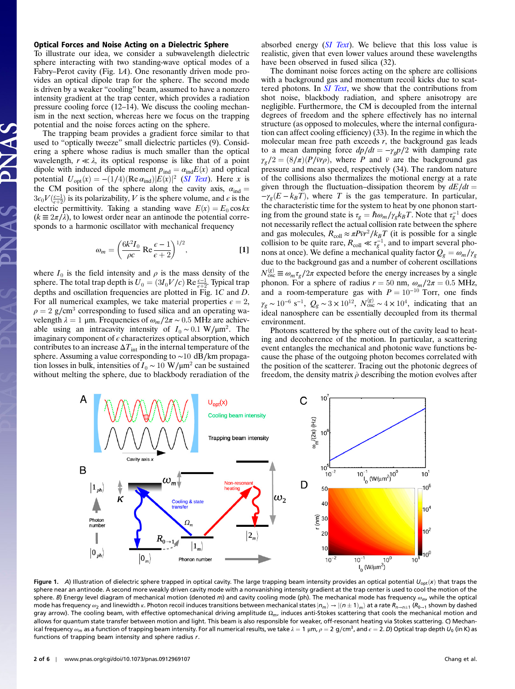#### Optical Forces and Noise Acting on a Dielectric Sphere

To illustrate our idea, we consider a subwavelength dielectric sphere interacting with two standing-wave optical modes of a Fabry–Perot cavity (Fig. 1A). One resonantly driven mode provides an optical dipole trap for the sphere. The second mode is driven by a weaker "cooling" beam, assumed to have a nonzero intensity gradient at the trap center, which provides a radiation pressure cooling force (12–14). We discuss the cooling mechanism in the next section, whereas here we focus on the trapping potential and the noise forces acting on the sphere.

The trapping beam provides a gradient force similar to that used to "optically tweeze" small dielectric particles (9). Considering a sphere whose radius is much smaller than the optical wavelength,  $r \ll \lambda$ , its optical response is like that of a point dipole with induced dipole moment  $p_{ind} = \alpha_{ind}E(x)$  and optical potential  $U_{\text{opt}}(x) = -(1/4)(\text{Re }\alpha_{\text{ind}})|E(x)|^2$  (*[SI Text](http://www.pnas.org/cgi/data/0912969107/DCSupplemental/Supplemental_PDF#nameddest=STXT)*). Here x is the CM position of the sphere along the cavity axis,  $\alpha_{ind} =$  $3\epsilon_0 V(\frac{\epsilon-1}{\epsilon+2})$  is its polarizability, V is the sphere volume, and  $\epsilon$  is the electric permittivity. Taking a standing wave  $E(x) = E_0 \cos kx$  $(k \equiv 2\pi/\lambda)$ , to lowest order near an antinode the potential corresponds to a harmonic oscillator with mechanical frequency

$$
\omega_m = \left(\frac{6k^2I_0}{\rho c} \operatorname{Re}\frac{\epsilon - 1}{\epsilon + 2}\right)^{1/2},\tag{1}
$$

where  $I_0$  is the field intensity and  $\rho$  is the mass density of the sphere. The total trap depth is  $U_0 = (3I_0V/c) \text{ Re } \frac{\epsilon - 1}{\epsilon + 2}$ . Typical trap depths and oscillation frequencies are plotted in Fig. 1C and D. For all numerical examples, we take material properties  $\epsilon = 2$ ,  $\rho = 2$  g/cm<sup>3</sup> corresponding to fused silica and an operating wavelength  $λ = 1$  μm. Frequencies of  $ω<sub>m</sub>/2π ~ 0.5$  MHz are achievable using an intracavity intensity of  $I_0 \sim 0.1 \text{ W}/\mu\text{m}^2$ . The imaginary component of  $\epsilon$  characterizes optical absorption, which contributes to an increase  $\Delta T_{\text{int}}$  in the internal temperature of the sphere. Assuming a value corresponding to ∼10 dB∕km propagation losses in bulk, intensities of  $I_0 \sim 10 \text{ W}/\mu\text{m}^2$  can be sustained without melting the sphere, due to blackbody reradiation of the absorbed energy  $(SI \text{ Text})$ . We believe that this loss value is realistic, given that even lower values around these wavelengths have been observed in fused silica (32).

The dominant noise forces acting on the sphere are collisions with a background gas and momentum recoil kicks due to scattered photons. In *[SI Text](http://www.pnas.org/cgi/data/0912969107/DCSupplemental/Supplemental_PDF#nameddest=STXT)*, we show that the contributions from shot noise, blackbody radiation, and sphere anisotropy are negligible. Furthermore, the CM is decoupled from the internal degrees of freedom and the sphere effectively has no internal structure (as opposed to molecules, where the internal configuration can affect cooling efficiency) (33). In the regime in which the molecular mean free path exceeds  $r$ , the background gas leads to a mean damping force  $dp/dt = -\gamma_g p/2$  with damping rate  $\gamma_{\varrho}/2 = (8/\pi)(P/\bar{v}r\rho)$ , where P and  $\bar{v}$  are the background gas pressure and mean speed, respectively (34). The random nature of the collisions also thermalizes the motional energy at a rate given through the fluctuation–dissipation theorem by  $dE/dt =$  $-\gamma_g(E - k_B T)$ , where T is the gas temperature. In particular, the characteristic time for the system to heat by one phonon starting from the ground state is  $\tau_g = \hbar \omega_m / \gamma_g k_B T$ . Note that  $\tau_g^{-1}$  does not necessarily reflect the actual collision rate between the sphere and gas molecules,  $R_{\text{coll}} \approx \pi P \bar{v}r^2 / k_B T$  (it is possible for a single collision to be quite rare,  $R_{\text{coll}} \ll \tau_g^{-1}$ , and to impart several phonons at once). We define a mechanical quality factor  $Q_g = \omega_m / \gamma_g$ due to the background gas and a number of coherent oscillations  $N_{\text{osc}}^{(g)} \equiv \omega_m \tau_g / 2\pi$  expected before the energy increases by a single phonon. For a sphere of radius  $r = 50$  nm,  $\omega_m/2\pi = 0.5$  MHz, and a room-temperature gas with  $P = 10^{-10}$  Torr, one finds  $\gamma_g \sim 10^{-6} \text{ s}^{-1}$ ,  $Q_g \sim 3 \times 10^{12}$ ,  $N_{osc}^{(g)} \sim 4 \times 10^4$ , indicating that an ideal nanosphere can be essentially decoupled from its thermal environment.

Photons scattered by the sphere out of the cavity lead to heating and decoherence of the motion. In particular, a scattering event entangles the mechanical and photonic wave functions because the phase of the outgoing photon becomes correlated with the position of the scatterer. Tracing out the photonic degrees of freedom, the density matrix  $\hat{\rho}$  describing the motion evolves after



Figure 1. A) Illustration of dielectric sphere trapped in optical cavity. The large trapping beam intensity provides an optical potential  $U_{\text{opt}}(x)$  that traps the sphere near an antinode. A second more weakly driven cavity mode with a nonvanishing intensity gradient at the trap center is used to cool the motion of the sphere. B) Energy level diagram of mechanical motion (denoted m) and cavity cooling mode (ph). The mechanical mode has frequency  $\omega_{m}$ , while the optical mode has frequency  $\omega_2$  and linewidth κ. Photon recoil induces transitions between mechanical states  $|n_m\rangle \rightarrow |(n\pm 1)_m\rangle$  at a rate  $R_{n\rightarrow n\pm 1}$  ( $R_{0\rightarrow 1}$  shown by dashed gray arrow). The cooling beam, with effective optomechanical driving amplitude  $\Omega_m$ , induces anti-Stokes scattering that cools the mechanical motion and allows for quantum state transfer between motion and light. This beam is also responsible for weaker, off-resonant heating via Stokes scattering. C) Mechanical frequency  $\omega_m$  as a function of trapping beam intensity. For all numerical results, we take  $\lambda = 1 \mu m$ ,  $\rho = 2 \frac{g}{cm^3}$ , and  $\epsilon = 2$ . D) Optical trap depth  $U_0$  (in K) as functions of trapping beam intensity and sphere radius r.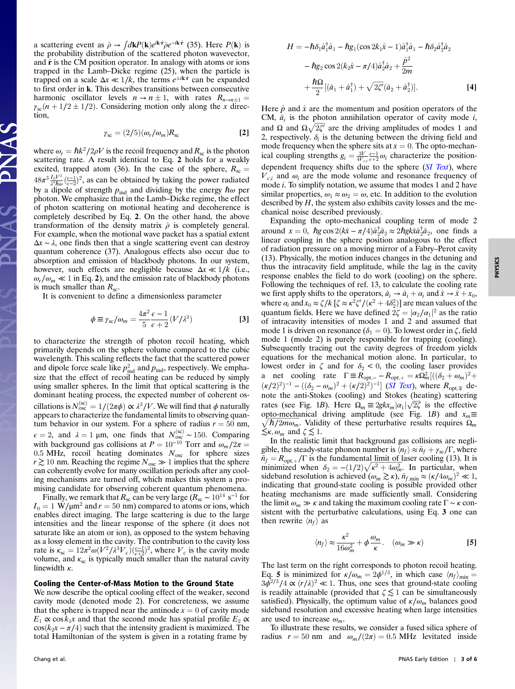a scattering event as  $\hat{\rho} \rightarrow \int d\mathbf{k}P(\mathbf{k})e^{i\mathbf{k}\cdot\hat{\mathbf{r}}}\hat{\rho}e^{-i\mathbf{k}\cdot\hat{\mathbf{r}}}$  (35). Here  $P(\mathbf{k})$  is the probability distribution of the scattered photon wavevector, and  $\hat{\mathbf{r}}$  is the CM position operator. In analogy with atoms or ions trapped in the Lamb–Dicke regime (25), when the particle is trapped on a scale  $\Delta x \ll 1/k$ , the terms  $e^{\pm i\mathbf{k}\cdot\hat{\mathbf{r}}}$  can be expanded to first order in k. This describes transitions between consecutive harmonic oscillator levels  $n \to n \pm 1$ , with rates  $R_{n \to n+1} =$  $\gamma_{\rm sc}(n + 1/2 \pm 1/2)$ . Considering motion only along the x direction,

$$
\gamma_{\rm sc} = (2/5)(\omega_r/\omega_m)R_{\rm sc} \tag{2}
$$

where  $\omega_r = \hbar k^2 / 2\rho V$  is the recoil frequency and  $R_{\rm sc}$  is the photon scattering rate. A result identical to Eq. 2 holds for a weakly excited, trapped atom (36). In the case of the sphere,  $R_{\rm sc} =$  $48\pi^3 \frac{I_0 V^2}{\lambda^4 \hbar \omega} \frac{(\epsilon - 1)}{(\epsilon - 2)}$ , as can be obtained by taking the power radiated by a dipole of strength  $p_{ind}$  and dividing by the energy  $\hbar \omega$  per photon. We emphasize that in the Lamb–Dicke regime, the effect of photon scattering on motional heating and decoherence is completely described by Eq. 2. On the other hand, the above transformation of the density matrix  $\hat{\rho}$  is completely general. For example, when the motional wave packet has a spatial extent  $\Delta x \sim \lambda$ , one finds then that a single scattering event can destroy quantum coherence (37). Analogous effects also occur due to absorption and emission of blackbody photons. In our system, however, such effects are negligible because  $\Delta x \ll 1/k$  (i.e.,  $\omega_r/\omega_m \ll 1$  in Eq. 2), and the emission rate of blackbody photons is much smaller than  $R_{sc}$ .

It is convenient to define a dimensionless parameter

$$
\phi \equiv \gamma_{\rm sc} / \omega_m = \frac{4\pi^2 \epsilon - 1}{5 \epsilon + 2} (V/\lambda^3)
$$
 [3]

to characterize the strength of photon recoil heating, which primarily depends on the sphere volume compared to the cubic wavelength. This scaling reflects the fact that the scattered power and dipole force scale like  $p_{ind}^2$  and  $p_{ind}$ , respectively. We emphasize that the effect of recoil heating can be reduced by simply using smaller spheres. In the limit that optical scattering is the dominant heating process, the expected number of coherent oscillations is  $N_{osc}^{(sc)} = 1/(2\pi\phi) \propto \lambda^3/V$ . We will find that  $\phi$  naturally appears to characterize the fundamental limits to observing quantum behavior in our system. For a sphere of radius  $r = 50$  nm,  $\epsilon = 2$ , and  $\lambda = 1$  µm, one finds that  $N_{\rm osc}^{(\rm sc)} \sim 150$ . Comparing with background gas collisions at  $P = 10^{-10}$  Torr and  $\omega_m/2\pi =$ 0.5 MHz, recoil heating dominates  $N<sub>osc</sub>$  for sphere sizes  $r$  ≥ 10 nm. Reaching the regime  $N_{\rm osc}$   $\gg$  1 implies that the sphere can coherently evolve for many oscillation periods after any cooling mechanisms are turned off, which makes this system a promising candidate for observing coherent quantum phenomena.

Finally, we remark that  $R_{\rm sc}$  can be very large ( $R_{\rm sc} \sim 10^{14} \text{ s}^{-1}$  for  $I_0 = 1$  W/ $\mu$ m<sup>2</sup> and  $r = 50$  nm) compared to atoms or ions, which enables direct imaging. The large scattering is due to the large intensities and the linear response of the sphere (it does not saturate like an atom or ion), as opposed to the system behaving as a lossy element in the cavity. The contribution to the cavity loss rate is  $\kappa_{\rm sc} = 12\pi^2 \omega (V^2/\lambda^3 V_c) \left(\frac{\epsilon - 1}{\epsilon + 2}\right)^2$ , where  $V_c$  is the cavity mode volume, and  $\kappa_{\rm sc}$  is typically much smaller than the natural cavity linewidth  $\kappa$ .

## Cooling the Center-of-Mass Motion to the Ground State

We now describe the optical cooling effect of the weaker, second cavity mode (denoted mode 2). For concreteness, we assume that the sphere is trapped near the antinode  $x = 0$  of cavity mode  $E_1 \propto \cos k_1 x$  and that the second mode has spatial profile  $E_2 \propto$  $cos(k_2x - \pi/4)$  such that the intensity gradient is maximized. The total Hamiltonian of the system is given in a rotating frame by

$$
H = -\hbar \delta_1 \hat{a}_1^{\dagger} \hat{a}_1 - \hbar g_1 (\cos 2k_1 \hat{x} - 1) \hat{a}_1^{\dagger} \hat{a}_1 - \hbar \delta_2 \hat{a}_2^{\dagger} \hat{a}_2 - \hbar g_2 \cos 2(k_2 \hat{x} - \pi/4) \hat{a}_2^{\dagger} \hat{a}_2 + \frac{\hat{p}^2}{2m} + \frac{\hbar \Omega}{2} [(\hat{a}_1 + \hat{a}_1^{\dagger}) + \sqrt{2\zeta'} (\hat{a}_2 + \hat{a}_2^{\dagger})].
$$
 [4]

Here  $\hat{p}$  and  $\hat{x}$  are the momentum and position operators of the CM,  $\hat{a}_i$  is the photon annihilation operator of cavity mode i, and  $\Omega$  and  $\Omega \sqrt{2\zeta'}$  are the driving amplitudes of modes 1 and 2, respectively.  $\delta_i$  is the detuning between the driving field and mode frequency when the sphere sits at  $x = 0$ . The opto-mechanical coupling strengths  $g_i = \frac{3V}{4V_{ci}} \frac{\epsilon - 1}{\epsilon + 2} \omega_i$  characterize the position-dependent frequency shifts due to the sphere ([SI Text](http://www.pnas.org/cgi/data/0912969107/DCSupplemental/Supplemental_PDF#nameddest=STXT)), where  $V_{ci}$  and  $\omega_i$  are the mode volume and resonance frequency of mode i. To simplify notation, we assume that modes 1 and 2 have similar properties,  $\omega_1 \approx \omega_2 = \omega$ , etc. In addition to the evolution described by  $H$ , the system also exhibits cavity losses and the mechanical noise described previously.

Expanding the opto-mechanical coupling term of mode 2 around  $x = 0$ ,  $\hbar g \cos 2(k\hat{x} - \pi/4)\hat{a}_2^{\dagger} \hat{a}_2 \approx 2\hbar g k\hat{x} \hat{a}_2^{\dagger} \hat{a}_2$ , one finds a linear coupling in the sphere position analogous to the effect of radiation pressure on a moving mirror of a Fabry–Perot cavity (13). Physically, the motion induces changes in the detuning and thus the intracavity field amplitude, while the lag in the cavity response enables the field to do work (cooling) on the sphere. Following the techniques of ref. 13, to calculate the cooling rate we first apply shifts to the operators,  $\hat{a}_i \rightarrow \hat{a}_i + \alpha_i$  and  $\hat{x} \rightarrow \hat{x} + x_0$ , where  $\alpha_i$  and  $x_0 \approx \zeta/k$  [ $\zeta \approx \kappa^2 \zeta'/(\kappa^2 + 4\delta_2^2)$ ] are mean values of the quantum fields. Here we have defined  $2\zeta = |\alpha_2/\alpha_1|^2$  as the ratio of intracavity intensities of modes 1 and 2 and assumed that mode 1 is driven on resonance ( $\delta_1 = 0$ ). To lowest order in ζ, field mode 1 (mode 2) is purely responsible for trapping (cooling). Subsequently tracing out the cavity degrees of freedom yields equations for the mechanical motion alone. In particular, to lowest order in  $\zeta$  and for  $\delta_2 < 0$ , the cooling laser provides a net cooling rate  $\Gamma \equiv R_{\text{opt},-} - R_{\text{opt},+} = \kappa \Omega_m^2 [((\delta_2 + \omega_m)^2 +$  $(\kappa/2)^2$ <sup>-1</sup> –  $((\delta_2 - \omega_m)^2 + (\kappa/2)^2)^{-1}$  (*[SI Text](http://www.pnas.org/cgi/data/0912969107/DCSupplemental/Supplemental_PDF#nameddest=STXT)*), where  $R_{\text{opt},\mp}$  denote the anti-Stokes (cooling) and Stokes (heating) scattering rates (see Fig. 1B). Here  $\Omega_m \equiv 2gkx_m|\alpha_1|\sqrt{2\zeta}$  is the effective opto-mechanical driving amplitude (see Fig. 1*B*) and  $x_m \equiv \sqrt{\hbar/2m\omega_m}$ . Validity of these perturbative results requires  $\Omega_m$  $\leq \kappa, \omega_m$  and  $\zeta \leq 1$ .

In the realistic limit that background gas collisions are negligible, the steady-state phonon number is  $\langle n_f \rangle \approx \tilde{n}_f + \gamma_{sc}/\Gamma$ , where  $n_f = R_{\text{opt},+}/\Gamma$  is the fundamental limit of laser cooling (13). It is minimized when  $\delta_2 = -(1/2)\sqrt{\kappa^2 + 4\omega_m^2}$ . In particular, when sideband resolution is achieved  $(\omega_m \gtrsim \kappa)$ ,  $\tilde{n}_{f,\min} \approx (\kappa/4\omega_m)^2 \ll 1$ , indicating that ground-state cooling is possible provided other heating mechanisms are made sufficiently small. Considering the limit  $\omega_m \gg \kappa$  and taking the maximum cooling rate  $\Gamma \sim \kappa$  consistent with the perturbative calculations, using Eq. 3 one can then rewrite  $\langle n_f \rangle$  as

$$
\langle n_f \rangle \approx \frac{\kappa^2}{16\omega_m^2} + \phi \frac{\omega_m}{\kappa}. \quad (\omega_m \gg \kappa)
$$
 [5]

The last term on the right corresponds to photon recoil heating. Eq. 5 is minimized for  $\kappa/\omega_m = 2\phi^{1/3}$ , in which case  $\langle n_f \rangle_{\text{min}} =$  $3\bar{\phi}^{2/3}/4 \propto (r/\lambda)^2 \ll 1$ . Thus, one sees that ground-state cooling is readily attainable (provided that  $\zeta \lesssim 1$  can be simultaneously satisfied). Physically, the optimum value of  $\kappa/\omega_m$  balances good sideband resolution and excessive heating when large intensities are used to increase  $\omega_m$ .

To illustrate these results, we consider a fused silica sphere of radius  $r = 50$  nm and  $\omega_m/(2\pi) = 0.5$  MHz levitated inside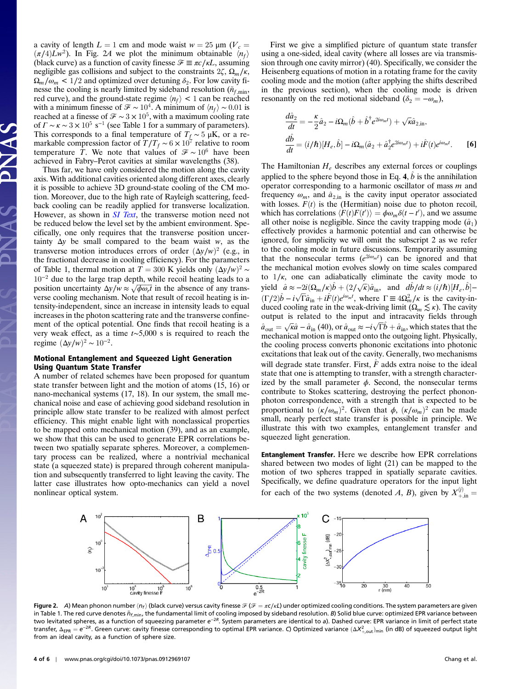a cavity of length  $L = 1$  cm and mode waist  $w = 25 \mu m$  ( $V_c =$  $(\pi/4)Lw^2$ ). In Fig. 2A we plot the minimum obtainable  $\langle n_f \rangle$ (black curve) as a function of cavity finesse  $\mathcal{F} \equiv \pi c / \kappa L$ , assuming negligible gas collisions and subject to the constraints  $2\zeta$ ,  $\Omega_m/\kappa$ ,  $\Omega_m/\omega_m$  < 1/2 and optimized over detuning  $\delta_2$ . For low cavity finesse the cooling is nearly limited by sideband resolution ( $\tilde{n}_{f,\text{min}}$ , red curve), and the ground-state regime  $\langle n_f \rangle$  < 1 can be reached with a minimum finesse of  $\mathcal{F} \sim 10^4$ . A minimum of  $\langle n_f \rangle \sim 0.01$  is reached at a finesse of  $\mathcal{F} \sim 3 \times 10^5$ , with a maximum cooling rate of  $\Gamma \sim \kappa \sim 3 \times 10^5 \text{ s}^{-1}$  (see Table 1 for a summary of parameters). This corresponds to a final temperature of  $T_f \sim 5 \mu K$ , or a remarkable compression factor of  $T/T_f \sim 6 \times 10^7$  relative to room temperature T. We note that values of  $\mathcal{F} \sim 10^6$  have been achieved in Fabry–Perot cavities at similar wavelengths (38).

Thus far, we have only considered the motion along the cavity axis. With additional cavities oriented along different axes, clearly it is possible to achieve 3D ground-state cooling of the CM motion. Moreover, due to the high rate of Rayleigh scattering, feedback cooling can be readily applied for transverse localization. However, as shown in *[SI Text](http://www.pnas.org/cgi/data/0912969107/DCSupplemental/Supplemental_PDF#nameddest=STXT)*, the transverse motion need not be reduced below the level set by the ambient environment. Specifically, one only requires that the transverse position uncertainty  $\Delta y$  be small compared to the beam waist w, as the transverse motion introduces errors of order  $(\Delta y/w)^2$  (e.g., in the fractional decrease in cooling efficiency). For the parameters of Table 1, thermal motion at  $T = 300$  K yields only  $(\Delta y/w)^2$  ~  $10^{-2}$  due to the large trap depth, while recoil heating leads to a position uncertainty  $\Delta y/w \approx \sqrt{\phi \omega_r t}$  in the absence of any transverse cooling mechanism. Note that result of recoil heating is intensity-independent, since an increase in intensity leads to equal increases in the photon scattering rate and the transverse confinement of the optical potential. One finds that recoil heating is a very weak effect, as a time t∼5,000 s is required to reach the regime  $(\Delta y/w)^2 \sim 10^{-2}$ .

## Motional Entanglement and Squeezed Light Generation Using Quantum State Transfer

A number of related schemes have been proposed for quantum state transfer between light and the motion of atoms (15, 16) or nano-mechanical systems (17, 18). In our system, the small mechanical noise and ease of achieving good sideband resolution in principle allow state transfer to be realized with almost perfect efficiency. This might enable light with nonclassical properties to be mapped onto mechanical motion (39), and as an example, we show that this can be used to generate EPR correlations between two spatially separate spheres. Moreover, a complementary process can be realized, where a nontrivial mechanical state (a squeezed state) is prepared through coherent manipulation and subsequently transferred to light leaving the cavity. The latter case illustrates how opto-mechanics can yield a novel nonlinear optical system.

First we give a simplified picture of quantum state transfer using a one-sided, ideal cavity (where all losses are via transmission through one cavity mirror) (40). Specifically, we consider the Heisenberg equations of motion in a rotating frame for the cavity cooling mode and the motion (after applying the shifts described in the previous section), when the cooling mode is driven resonantly on the red motional sideband ( $\delta_2 = -\omega_m$ ),

$$
\frac{d\hat{a}_2}{dt} = -\frac{\kappa}{2}\hat{a}_2 - i\Omega_m(\hat{b} + \hat{b}^\dagger e^{2i\omega_m t}) + \sqrt{\kappa}\hat{a}_{2,\text{in}},
$$
  

$$
\frac{d\hat{b}}{dt} = (i/\hbar)[H_e, \hat{b}] - i\Omega_m(\hat{a}_2 + \hat{a}_2^\dagger e^{2i\omega_m t}) + i\hat{F}(t)e^{i\omega_m t}.
$$
 [6]

The Hamiltonian  $H_e$  describes any external forces or couplings applied to the sphere beyond those in Eq. 4,  $\hat{b}$  is the annihilation operator corresponding to a harmonic oscillator of mass  $m$  and frequency  $\omega_m$ , and  $\hat{a}_{2,in}$  is the cavity input operator associated with losses.  $F(t)$  is the (Hermitian) noise due to photon recoil, which has correlations  $\langle F(t)F(t') \rangle = \phi \omega_m \delta(t-t')$ , and we assume all other noise is negligible. Since the cavity trapping mode  $(\hat{a}_1)$ effectively provides a harmonic potential and can otherwise be ignored, for simplicity we will omit the subscript 2 as we refer to the cooling mode in future discussions. Temporarily assuming that the nonsecular terms  $(e^{2i\omega_m t})$  can be ignored and that the mechanical motion evolves slowly on time scales compared to  $1/\kappa$ , one can adiabatically eliminate the cavity mode to yield  $\hat{a} \approx -2i(\Omega_m/\kappa)\hat{b} + (2/\sqrt{\kappa})\hat{a}_{\text{in}}$ , and  $d\hat{b}/dt \approx (i/\hbar)[H_e, \hat{b}]$ - $(\Gamma/2)\hat{b} - i\sqrt{\Gamma}\hat{a}_{\text{in}} + i\hat{F}(t)e^{i\omega_m t}$ , where  $\Gamma \equiv 4\Omega_m^2/\kappa$  is the cavity-induced cooling rate in the weak-driving limit ( $\Omega_m \lesssim \kappa$ ). The cavity output is related to the input and intracavity fields through  $\hat{a}_{\text{out}} = \sqrt{\kappa} \hat{a} - \hat{a}_{\text{in}}$  (40), or  $\hat{a}_{\text{out}} \approx -i \sqrt{\Gamma} \hat{b} + \hat{a}_{\text{in}}$ , which states that the mechanical motion is mapped onto the outgoing light. Physically, the cooling process converts phononic excitations into photonic excitations that leak out of the cavity. Generally, two mechanisms will degrade state transfer. First,  $\ddot{F}$  adds extra noise to the ideal state that one is attempting to transfer, with a strength characterized by the small parameter  $\phi$ . Second, the nonsecular terms contribute to Stokes scattering, destroying the perfect phononphoton correspondence, with a strength that is expected to be proportional to  $(\kappa/\omega_m)^2$ . Given that  $\phi$ ,  $(\kappa/\omega_m)^2$  can be made small, nearly perfect state transfer is possible in principle. We illustrate this with two examples, entanglement transfer and squeezed light generation.

Entanglement Transfer. Here we describe how EPR correlations shared between two modes of light (21) can be mapped to the motion of two spheres trapped in spatially separate cavities. Specifically, we define quadrature operators for the input light for each of the two systems (denoted A, B), given by  $X_{+,in}^{(j)} =$ 



Figure 2. A) Mean phonon number  $\langle n_f \rangle$  (black curve) versus cavity finesse  $\mathcal{F}(\mathcal{F} = \pi c/kL)$  under optimized cooling conditions. The system parameters are given in Table 1. The red curve denotes  $\tilde{n}_{f,min}$ , the fundamental limit of cooling imposed by sideband resolution. B) Solid blue curve: optimized EPR variance between two levitated spheres, as a function of squeezing parameter e<sup>−2R</sup>. System parameters are identical to a). Dashed curve: EPR variance in limit of perfect state transfer,  $\Delta_{\sf{EPR}} = e^{-2R}$ . Green curve: cavity finesse corresponding to optimal EPR variance. C) Optimized variance  $(\Delta X_{+, \text{out}}^2)_{\text{min}}$  (in dB) of squeezed output light from an ideal cavity, as a function of sphere size.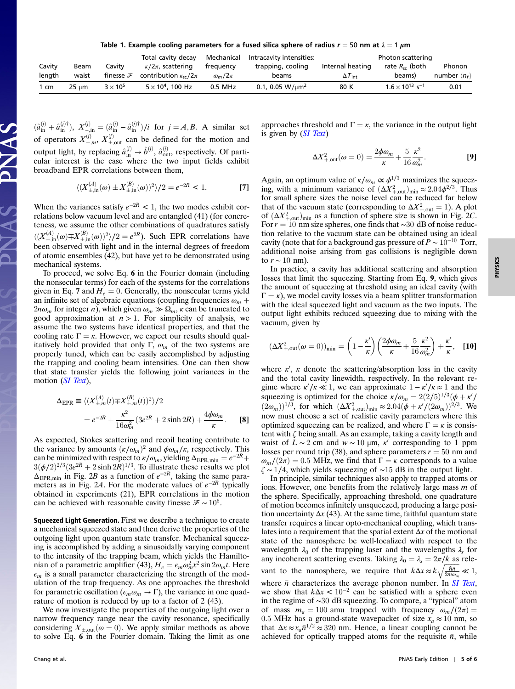Table 1. Example cooling parameters for a fused silica sphere of radius  $r = 50$  nm at  $\lambda = 1 \ \mu m$ 

|                |       |                      | Total cavity decay              | Mechanical      | Intracavity intensities:          |                         | Photon scattering                    |                              |
|----------------|-------|----------------------|---------------------------------|-----------------|-----------------------------------|-------------------------|--------------------------------------|------------------------------|
| Cavity         | Beam  | Cavitv               | $\kappa/2\pi$ , scattering      | frequency       | trapping, cooling                 | Internal heating        | rate $R_{sc}$ (both                  | Phonon                       |
| length         | waist | finesse $\mathcal F$ | contribution $\kappa_{sc}/2\pi$ | $\omega_m/2\pi$ | beams                             | $\Delta T_{\text{int}}$ | beams)                               | number $\langle n_f \rangle$ |
| $1 \text{ cm}$ | 25 um | $3 \times 10^5$      | $5 \times 10^4$ , 100 Hz        | 0.5 MHz         | 0.1, 0.05 W/ $\mu$ m <sup>2</sup> | 80 K                    | $1.6 \times 10^{13}$ s <sup>-1</sup> | 0.01                         |

 $(\hat{a}_{in}^{(j)} + \hat{a}_{in}^{(j)\dagger}), X_{-in}^{(j)} = (\hat{a}_{in}^{(j)} - \hat{a}_{in}^{(j)\dagger})/i$  for  $j = A, B$ . A similar set of operators  $X_{\pm,m}^{(j)}$ ,  $X_{\pm, \text{out}}^{(j)}$  can be defined for the motion and output light, by replacing  $\hat{a}^{(j)}_{in} \rightarrow \hat{b}^{(j)}$ ,  $\hat{a}^{(j)}_{out}$ , respectively. Of particular interest is the case where the two input fields exhibit broadband EPR correlations between them,

$$
\langle (X_{\pm,\text{in}}^{(A)}(\omega) \pm X_{\pm,\text{in}}^{(B)}(\omega) \rangle^2 \rangle / 2 = e^{-2R} < 1. \tag{7}
$$

When the variances satisfy  $e^{-2R}$  < 1, the two modes exhibit correlations below vacuum level and are entangled (41) (for concreteness, we assume the other combinations of quadratures satisfy  $\langle (X_{\pm,in}^{(A)}(\omega)\mp X_{\pm,in}^{(B)}(\omega))^2 \rangle/2 = e^{2R}$ ). Such EPR correlations have been observed with light and in the internal degrees of freedom of atomic ensembles (42), but have yet to be demonstrated using mechanical systems.

To proceed, we solve Eq. 6 in the Fourier domain (including the nonsecular terms) for each of the systems for the correlations given in Eq. 7 and  $H_e = 0$ . Generally, the nonsecular terms yield an infinite set of algebraic equations (coupling frequencies  $\omega_m$  +  $2n\omega_m$  for integer n), which given  $\omega_m \gg \Omega_m$ ,  $\kappa$  can be truncated to good approximation at  $n > 1$ . For simplicity of analysis, we assume the two systems have identical properties, and that the cooling rate  $\Gamma = \kappa$ . However, we expect our results should qualitatively hold provided that only Γ,  $\omega_m$  of the two systems are properly tuned, which can be easily accomplished by adjusting the trapping and cooling beam intensities. One can then show that state transfer yields the following joint variances in the motion ([SI Text](http://www.pnas.org/cgi/data/0912969107/DCSupplemental/Supplemental_PDF#nameddest=STXT)),

$$
\Delta_{\text{EPR}} \equiv \langle (X_{\pm,m}^{(A)}(t) \mp X_{\pm,m}^{(B)}(t))^2 \rangle / 2
$$
  
=  $e^{-2R} + \frac{\kappa^2}{16\omega_m^2} (3e^{2R} + 2\sinh 2R) + \frac{4\phi\omega_m}{\kappa}$ . [8]

As expected, Stokes scattering and recoil heating contribute to the variance by amounts  $(\kappa/\omega_m)^2$  and  $\phi\omega_m/\kappa$ , respectively. This can be minimized with respect to  $\kappa/\omega_m$ , yielding  $\Delta_{\rm EPR,min} = e^{-2R} +$  $3(\phi/2)^{2/3}(3e^{2R} + 2\sinh 2R)^{1/3}$ . To illustrate these results we plot  $\Delta_{\text{EPR,min}}$  in Fig. 2B as a function of  $e^{-2R}$ , taking the same parameters as in Fig. 2A. For the moderate values of  $e^{-2R}$  typically obtained in experiments (21), EPR correlations in the motion can be achieved with reasonable cavity finesse  $\mathcal{F} \sim 10^5$ .

Squeezed Light Generation. First we describe a technique to create a mechanical squeezed state and then derive the properties of the outgoing light upon quantum state transfer. Mechanical squeezing is accomplished by adding a sinusoidally varying component to the intensity of the trapping beam, which yields the Hamiltonian of a parametric amplifier (43),  $H_e = \epsilon_m \omega_m^2 x^2 \sin 2\omega_m t$ . Here  $\epsilon_m$  is a small parameter characterizing the strength of the modulation of the trap frequency. As one approaches the threshold for parametric oscillation ( $\epsilon_m \omega_m \to \Gamma$ ), the variance in one quadrature of motion is reduced by up to a factor of 2 (43).

We now investigate the properties of the outgoing light over a narrow frequency range near the cavity resonance, specifically considering  $X_{+,out}(\omega = 0)$ . We apply similar methods as above to solve Eq. 6 in the Fourier domain. Taking the limit as one

approaches threshold and  $\Gamma = \kappa$ , the variance in the output light is given by ([SI Text](http://www.pnas.org/cgi/data/0912969107/DCSupplemental/Supplemental_PDF#nameddest=STXT))

$$
\Delta X_{+,\text{out}}^2(\omega = 0) = \frac{2\phi\omega_m}{\kappa} + \frac{5}{16} \frac{\kappa^2}{\omega_m^2}.
$$
 [9]

Again, an optimum value of  $\kappa/\omega_m \propto \phi^{1/3}$  maximizes the squeezing, with a minimum variance of  $(\Delta X_{+\text{out}}^2)_{\text{min}} \approx 2.04 \phi^{2/3}$ . Thus for small sphere sizes the noise level can be reduced far below that of the vacuum state (corresponding to  $\Delta X_{+,\text{out}}^2 = 1$ ). A plot of  $(\Delta X_{+\text{out}}^2)_{\text{min}}$  as a function of sphere size is shown in Fig. 2C. For  $r = 10$  nm size spheres, one finds that ~30 dB of noise reduction relative to the vacuum state can be obtained using an ideal cavity (note that for a background gas pressure of  $P \sim 10^{-10}$  Torr, additional noise arising from gas collisions is negligible down to  $r \sim 10$  nm).

In practice, a cavity has additional scattering and absorption losses that limit the squeezing. Starting from Eq. 9, which gives the amount of squeezing at threshold using an ideal cavity (with  $\Gamma = \kappa$ ), we model cavity losses via a beam splitter transformation with the ideal squeezed light and vacuum as the two inputs. The output light exhibits reduced squeezing due to mixing with the vacuum, given by

$$
(\Delta X_{+,\text{out}}^2(\omega=0))_{\text{min}} = \left(1 - \frac{\kappa'}{\kappa}\right) \left(\frac{2\phi\omega_m}{\kappa} + \frac{5}{16} \frac{\kappa^2}{\omega_m^2}\right) + \frac{\kappa'}{\kappa}, \quad \text{[10]}
$$

where  $\kappa'$ ,  $\kappa$  denote the scattering/absorption loss in the cavity and the total cavity linewidth, respectively. In the relevant regime where  $\kappa'/\kappa \ll 1$ , we can approximate  $1 - \kappa'/\kappa \approx 1$  and the squeezing is optimized for the choice  $\kappa/\omega_m = 2(2/5)^{1/3}(\phi + \kappa')$  $(2\omega_m)^{1/3}$ , for which  $(\Delta X_{+\text{out}}^2)_{\text{min}} \approx 2.04(\phi + \kappa'/(2\omega_m))^{2/3}$ . We now must choose a set of realistic cavity parameters where this optimized squeezing can be realized, and where  $\Gamma = \kappa$  is consistent with ζ being small. As an example, taking a cavity length and waist of  $L \sim 2$  cm and  $w \sim 10 \mu m$ , κ' corresponding to 1 ppm losses per round trip (38), and sphere parameters  $r = 50$  nm and  $\omega_m/(2\pi) = 0.5$  MHz, we find that  $\Gamma = \kappa$  corresponds to a value  $\zeta \sim 1/4$ , which yields squeezing of ~15 dB in the output light.

In principle, similar techniques also apply to trapped atoms or ions. However, one benefits from the relatively large mass m of the sphere. Specifically, approaching threshold, one quadrature of motion becomes infinitely unsqueezed, producing a large position uncertainty  $\Delta x$  (43). At the same time, faithful quantum state transfer requires a linear opto-mechanical coupling, which translates into a requirement that the spatial extent  $\Delta x$  of the motional state of the nanosphere be well-localized with respect to the wavelegnth  $\lambda_0$  of the trapping laser and the wavelengths  $\lambda_s$  for any incoherent scattering events. Taking  $\lambda_0 = \lambda_s = 2\pi/k$  as relevant to the nanosphere, we require that  $k\Delta x \approx k\sqrt{\frac{\hbar\bar{n}}{2m\omega_m}} \ll 1$ , where  $\bar{n}$  characterizes the average phonon number. In [SI Text](http://www.pnas.org/cgi/data/0912969107/DCSupplemental/Supplemental_PDF#nameddest=STXT), we show that  $k\Delta x < 10^{-2}$  can be satisfied with a sphere even in the regime of ∼30 dB squeezing. To compare, a "typical" atom of mass  $m_a = 100$  amu trapped with frequency  $\omega_m/(2\pi) =$ 0.5 MHz has a ground-state wavepacket of size  $x_a \approx 10$  nm, so that  $\Delta x \approx x_a \bar{n}^{1/2} \approx 320$  nm. Hence, a linear coupling cannot be achieved for optically trapped atoms for the requisite  $\bar{n}$ , while